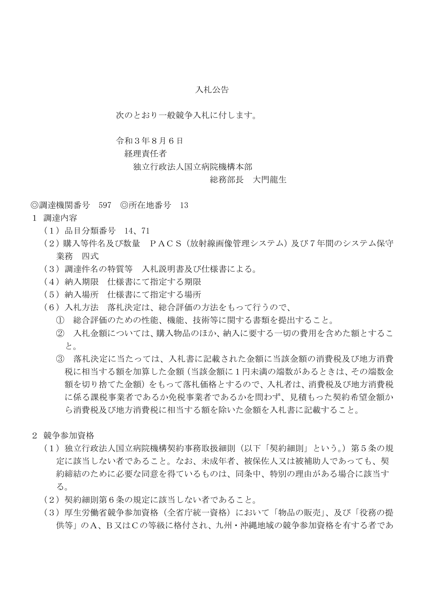## 入札公告

次のとおり一般競争入札に付します。

#### 令和3年8月6日

### 経理責任者

独立行政法人国立病院機構本部

### 総務部長 大門龍生

◎調達機関番号 597 ◎所在地番号 13

- 1 調達内容
	- (1)品目分類番号 14、71
	- (2)購入等件名及び数量 PACS(放射線画像管理システム)及び7年間のシステム保守 業務 四式
	- (3)調達件名の特質等 入札説明書及び仕様書による。
	- (4)納入期限 仕様書にて指定する期限
	- (5)納入場所 仕様書にて指定する場所
	- (6)入札方法 落札決定は、総合評価の方法をもって行うので、
		- ① 総合評価のための性能、機能、技術等に関する書類を提出すること。
		- ② 入札金額については、購入物品のほか、納入に要する一切の費用を含めた額とするこ と。
		- ③ 落札決定に当たっては、入札書に記載された金額に当該金額の消費税及び地方消費 税に相当する額を加算した金額(当該金額に1円未満の端数があるときは、その端数金 額を切り捨てた金額)をもって落札価格とするので、入札者は、消費税及び地方消費税 に係る課税事業者であるか免税事業者であるかを問わず、見積もった契約希望金額か ら消費税及び地方消費税に相当する額を除いた金額を入札書に記載すること。
- 2 競争参加資格
	- (1)独立行政法人国立病院機構契約事務取扱細則(以下「契約細則」という。)第5条の規 定に該当しない者であること。なお、未成年者、被保佐人又は被補助人であっても、契 約締結のために必要な同意を得ているものは、同条中、特別の理由がある場合に該当す る。
	- (2)契約細則第6条の規定に該当しない者であること。
	- (3)厚生労働省競争参加資格(全省庁統一資格)において「物品の販売」、及び「役務の提 供等」のA、B又はCの等級に格付され、九州・沖縄地域の競争参加資格を有する者であ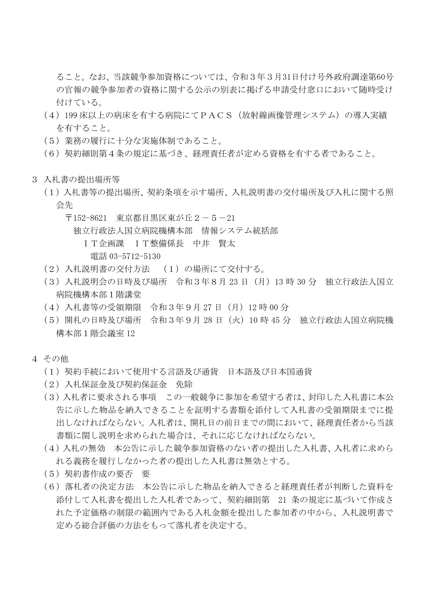ること。なお、当該競争参加資格については、令和3年3月31日付け号外政府調達第60号 の官報の競争参加者の資格に関する公示の別表に掲げる申請受付窓口において随時受け 付けている。

- (4)199 床以上の病床を有する病院にてPACS(放射線画像管理システム)の導入実績 を有すること。
- (5)業務の履行に十分な実施体制であること。
- (6)契約細則第4条の規定に基づき、経理責任者が定める資格を有する者であること。
- 3 入札書の提出場所等
	- (1)入札書等の提出場所、契約条項を示す場所、入札説明書の交付場所及び入札に関する照 会先
		- 〒152-8621 東京都目黒区東が丘2-5-21

独立行政法人国立病院機構本部 情報システム統括部

IT企画課 IT整備係長 中井 賢太

電話 03-5712-5130

- (2)入札説明書の交付方法 (1)の場所にて交付する。
- (3)入札説明会の日時及び場所 令和3年8月 23 日(月)13 時 30 分 独立行政法人国立 病院機構本部1階講堂
- (4)入札書等の受領期限 令和3年9月 27 日(月)12 時 00 分
- (5)開札の日時及び場所 令和3年9月 28 日(火)10 時 45 分 独立行政法人国立病院機 構本部1階会議室 12
- 4 その他
	- (1)契約手続において使用する言語及び通貨 日本語及び日本国通貨
	- (2)入札保証金及び契約保証金 免除
	- (3)入札者に要求される事項 この一般競争に参加を希望する者は、封印した入札書に本公 告に示した物品を納入できることを証明する書類を添付して入札書の受領期限までに提 出しなければならない。入札者は、開札日の前日までの間において、経理責任者から当該 書類に関し説明を求められた場合は、それに応じなければならない。
	- (4)入札の無効 本公告に示した競争参加資格のない者の提出した入札書、入札者に求めら れる義務を履行しなかった者の提出した入札書は無効とする。
	- (5)契約書作成の要否 要
	- (6)落札者の決定方法 本公告に示した物品を納入できると経理責任者が判断した資料を 添付して入札書を提出した入札者であって、契約細則第 21 条の規定に基づいて作成さ れた予定価格の制限の範囲内である入札金額を提出した参加者の中から、入札説明書で 定める総合評価の方法をもって落札者を決定する。